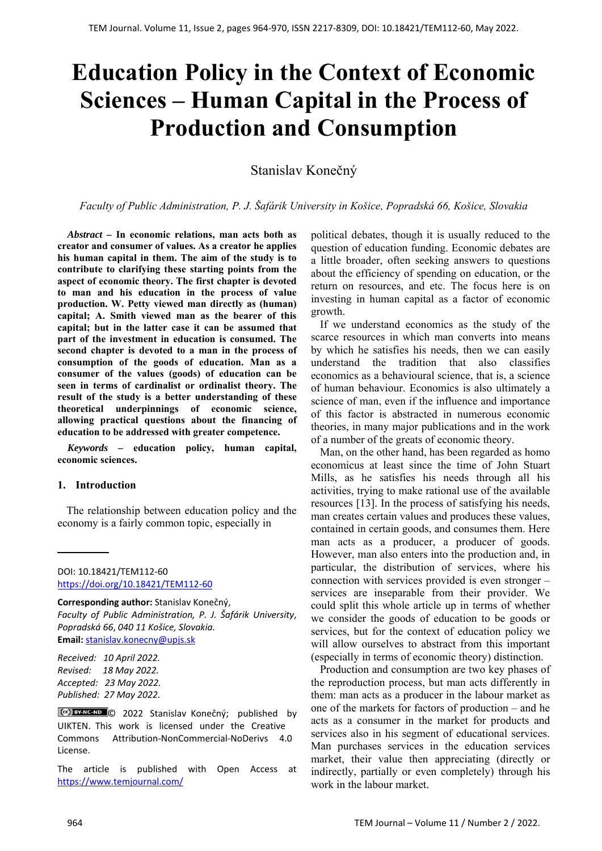# **Education Policy in the Context of Economic Sciences – Human Capital in the Process of Production and Consumption**

Stanislav Konečný

*Faculty of Public Administration, P. J. Šafárik University in Košice, Popradská 66, Košice, Slovakia*

*Abstract –* **In economic relations, man acts both as creator and consumer of values. As a creator he applies his human capital in them. The aim of the study is to contribute to clarifying these starting points from the aspect of economic theory. The first chapter is devoted to man and his education in the process of value production. W. Petty viewed man directly as (human) capital; A. Smith viewed man as the bearer of this capital; but in the latter case it can be assumed that part of the investment in education is consumed. The second chapter is devoted to a man in the process of consumption of the goods of education. Man as a consumer of the values (goods) of education can be seen in terms of cardinalist or ordinalist theory. The result of the study is a better understanding of these theoretical underpinnings of economic science, allowing practical questions about the financing of education to be addressed with greater competence.**

*Keywords –* **education policy, human capital, economic sciences.**

#### **1. Introduction**

The relationship between education policy and the economy is a fairly common topic, especially in

*Received: 10 April 2022. Revised: 18 May 2022. Accepted: 23 May 2022. Published: 27 May 2022.* 

The article is published with Open Access at https://www.temjournal.com/

political debates, though it is usually reduced to the question of education funding. Economic debates are a little broader, often seeking answers to questions about the efficiency of spending on education, or the return on resources, and etc. The focus here is on investing in human capital as a factor of economic growth.

If we understand economics as the study of the scarce resources in which man converts into means by which he satisfies his needs, then we can easily understand the tradition that also classifies economics as a behavioural science, that is, a science of human behaviour. Economics is also ultimately a science of man, even if the influence and importance of this factor is abstracted in numerous economic theories, in many major publications and in the work of a number of the greats of economic theory.

Man, on the other hand, has been regarded as homo economicus at least since the time of John Stuart Mills, as he satisfies his needs through all his activities, trying to make rational use of the available resources [13]. In the process of satisfying his needs, man creates certain values and produces these values, contained in certain goods, and consumes them. Here man acts as a producer, a producer of goods. However, man also enters into the production and, in particular, the distribution of services, where his connection with services provided is even stronger – services are inseparable from their provider. We could split this whole article up in terms of whether we consider the goods of education to be goods or services, but for the context of education policy we will allow ourselves to abstract from this important (especially in terms of economic theory) distinction.

Production and consumption are two key phases of the reproduction process, but man acts differently in them: man acts as a producer in the labour market as one of the markets for factors of production – and he acts as a consumer in the market for products and services also in his segment of educational services. Man purchases services in the education services market, their value then appreciating (directly or indirectly, partially or even completely) through his work in the labour market.

DOI: 10.18421/TEM112-60 [https://doi.org/10.18421/TEM112](https://doi.org/10.18421/TEM112-60)-60

**Corresponding author:** Stanislav Konečný, *Faculty of Public Administration, P. J. Šafárik University*, *Popradská 66*, *040 11 Košice, Slovakia.* **Email:** stanislav.konecny@upjs.sk

<sup>©</sup>  2022 Stanislav Konečný; published by UIKTEN. This work is licensed under the Creative Commons Attribution‐NonCommercial‐NoDerivs 4.0 License.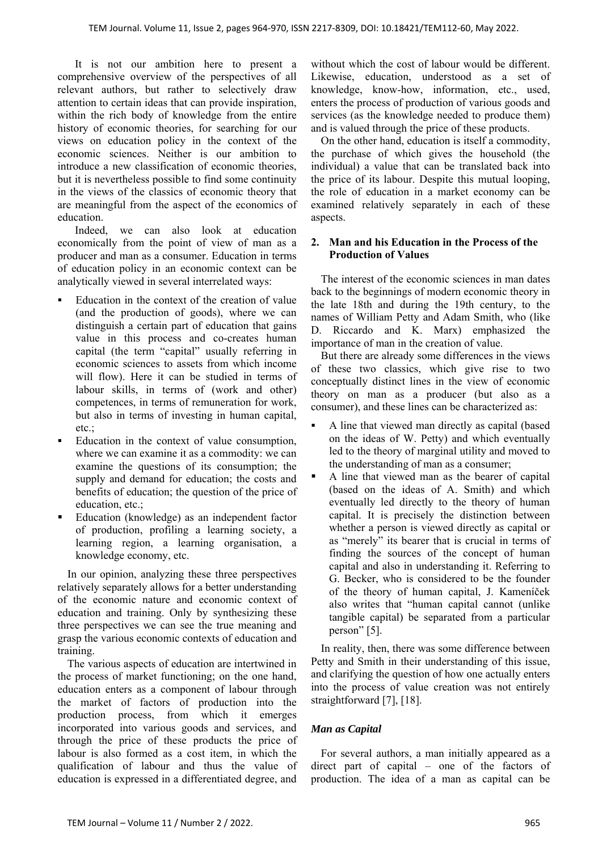It is not our ambition here to present a comprehensive overview of the perspectives of all relevant authors, but rather to selectively draw attention to certain ideas that can provide inspiration, within the rich body of knowledge from the entire history of economic theories, for searching for our views on education policy in the context of the economic sciences. Neither is our ambition to introduce a new classification of economic theories, but it is nevertheless possible to find some continuity in the views of the classics of economic theory that are meaningful from the aspect of the economics of education.

 Indeed, we can also look at education economically from the point of view of man as a producer and man as a consumer. Education in terms of education policy in an economic context can be analytically viewed in several interrelated ways:

- Education in the context of the creation of value (and the production of goods), where we can distinguish a certain part of education that gains value in this process and co-creates human capital (the term "capital" usually referring in economic sciences to assets from which income will flow). Here it can be studied in terms of labour skills, in terms of (work and other) competences, in terms of remuneration for work, but also in terms of investing in human capital, etc.;
- Education in the context of value consumption, where we can examine it as a commodity: we can examine the questions of its consumption; the supply and demand for education; the costs and benefits of education; the question of the price of education, etc.;
- Education (knowledge) as an independent factor of production, profiling a learning society, a learning region, a learning organisation, a knowledge economy, etc.

In our opinion, analyzing these three perspectives relatively separately allows for a better understanding of the economic nature and economic context of education and training. Only by synthesizing these three perspectives we can see the true meaning and grasp the various economic contexts of education and training.

The various aspects of education are intertwined in the process of market functioning; on the one hand, education enters as a component of labour through the market of factors of production into the production process, from which it emerges incorporated into various goods and services, and through the price of these products the price of labour is also formed as a cost item, in which the qualification of labour and thus the value of education is expressed in a differentiated degree, and

without which the cost of labour would be different. Likewise, education, understood as a set of knowledge, know-how, information, etc., used, enters the process of production of various goods and services (as the knowledge needed to produce them) and is valued through the price of these products.

On the other hand, education is itself a commodity, the purchase of which gives the household (the individual) a value that can be translated back into the price of its labour. Despite this mutual looping, the role of education in a market economy can be examined relatively separately in each of these aspects.

#### **2. Man and his Education in the Process of the Production of Values**

The interest of the economic sciences in man dates back to the beginnings of modern economic theory in the late 18th and during the 19th century, to the names of William Petty and Adam Smith, who (like D. Riccardo and K. Marx) emphasized the importance of man in the creation of value.

But there are already some differences in the views of these two classics, which give rise to two conceptually distinct lines in the view of economic theory on man as a producer (but also as a consumer), and these lines can be characterized as:

- A line that viewed man directly as capital (based on the ideas of W. Petty) and which eventually led to the theory of marginal utility and moved to the understanding of man as a consumer;
- A line that viewed man as the bearer of capital (based on the ideas of A. Smith) and which eventually led directly to the theory of human capital. It is precisely the distinction between whether a person is viewed directly as capital or as "merely" its bearer that is crucial in terms of finding the sources of the concept of human capital and also in understanding it. Referring to G. Becker, who is considered to be the founder of the theory of human capital, J. Kameníček also writes that "human capital cannot (unlike tangible capital) be separated from a particular person" [5].

In reality, then, there was some difference between Petty and Smith in their understanding of this issue, and clarifying the question of how one actually enters into the process of value creation was not entirely straightforward [7], [18].

# *Man as Capital*

For several authors, a man initially appeared as a direct part of capital – one of the factors of production. The idea of a man as capital can be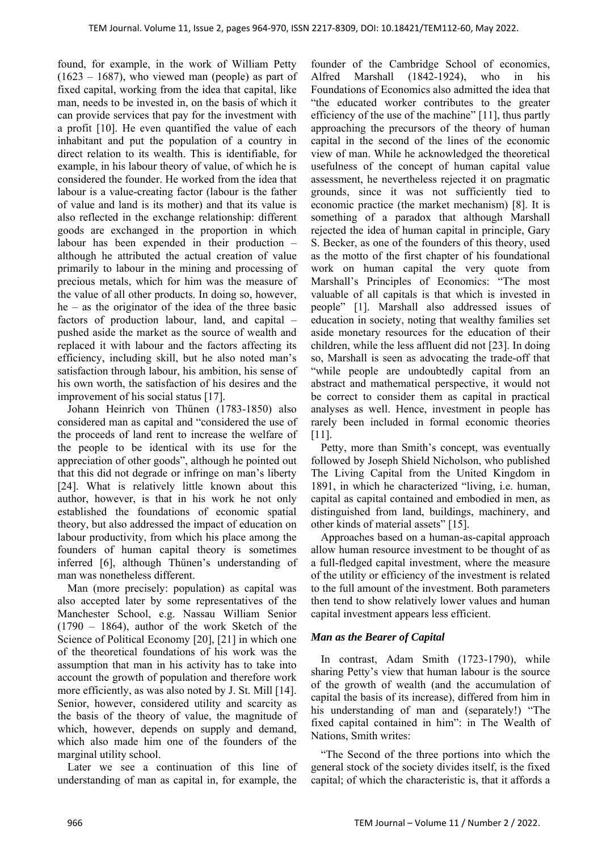found, for example, in the work of William Petty  $(1623 - 1687)$ , who viewed man (people) as part of fixed capital, working from the idea that capital, like man, needs to be invested in, on the basis of which it can provide services that pay for the investment with a profit [10]. He even quantified the value of each inhabitant and put the population of a country in direct relation to its wealth. This is identifiable, for example, in his labour theory of value, of which he is considered the founder. He worked from the idea that labour is a value-creating factor (labour is the father of value and land is its mother) and that its value is also reflected in the exchange relationship: different goods are exchanged in the proportion in which labour has been expended in their production – although he attributed the actual creation of value primarily to labour in the mining and processing of precious metals, which for him was the measure of the value of all other products. In doing so, however, he – as the originator of the idea of the three basic factors of production labour, land, and capital – pushed aside the market as the source of wealth and replaced it with labour and the factors affecting its efficiency, including skill, but he also noted man's satisfaction through labour, his ambition, his sense of his own worth, the satisfaction of his desires and the improvement of his social status [17].

Johann Heinrich von Thűnen (1783-1850) also considered man as capital and "considered the use of the proceeds of land rent to increase the welfare of the people to be identical with its use for the appreciation of other goods", although he pointed out that this did not degrade or infringe on man's liberty [24]. What is relatively little known about this author, however, is that in his work he not only established the foundations of economic spatial theory, but also addressed the impact of education on labour productivity, from which his place among the founders of human capital theory is sometimes inferred [6], although Thűnen's understanding of man was nonetheless different.

Man (more precisely: population) as capital was also accepted later by some representatives of the Manchester School, e.g. Nassau William Senior  $(1790 - 1864)$ , author of the work Sketch of the Science of Political Economy [20], [21] in which one of the theoretical foundations of his work was the assumption that man in his activity has to take into account the growth of population and therefore work more efficiently, as was also noted by J. St. Mill [14]. Senior, however, considered utility and scarcity as the basis of the theory of value, the magnitude of which, however, depends on supply and demand, which also made him one of the founders of the marginal utility school.

Later we see a continuation of this line of understanding of man as capital in, for example, the

founder of the Cambridge School of economics, Alfred Marshall (1842-1924), who in his Foundations of Economics also admitted the idea that "the educated worker contributes to the greater efficiency of the use of the machine" [11], thus partly approaching the precursors of the theory of human capital in the second of the lines of the economic view of man. While he acknowledged the theoretical usefulness of the concept of human capital value assessment, he nevertheless rejected it on pragmatic grounds, since it was not sufficiently tied to economic practice (the market mechanism) [8]. It is something of a paradox that although Marshall rejected the idea of human capital in principle, Gary S. Becker, as one of the founders of this theory, used as the motto of the first chapter of his foundational work on human capital the very quote from Marshall's Principles of Economics: "The most valuable of all capitals is that which is invested in people" [1]. Marshall also addressed issues of education in society, noting that wealthy families set aside monetary resources for the education of their children, while the less affluent did not [23]. In doing so, Marshall is seen as advocating the trade-off that "while people are undoubtedly capital from an abstract and mathematical perspective, it would not be correct to consider them as capital in practical analyses as well. Hence, investment in people has rarely been included in formal economic theories [11].

Petty, more than Smith's concept, was eventually followed by Joseph Shield Nicholson, who published The Living Capital from the United Kingdom in 1891, in which he characterized "living, i.e. human, capital as capital contained and embodied in men, as distinguished from land, buildings, machinery, and other kinds of material assets" [15].

Approaches based on a human-as-capital approach allow human resource investment to be thought of as a full-fledged capital investment, where the measure of the utility or efficiency of the investment is related to the full amount of the investment. Both parameters then tend to show relatively lower values and human capital investment appears less efficient.

#### *Man as the Bearer of Capital*

In contrast, Adam Smith (1723-1790), while sharing Petty's view that human labour is the source of the growth of wealth (and the accumulation of capital the basis of its increase), differed from him in his understanding of man and (separately!) "The fixed capital contained in him": in The Wealth of Nations, Smith writes:

"The Second of the three portions into which the general stock of the society divides itself, is the fixed capital; of which the characteristic is, that it affords a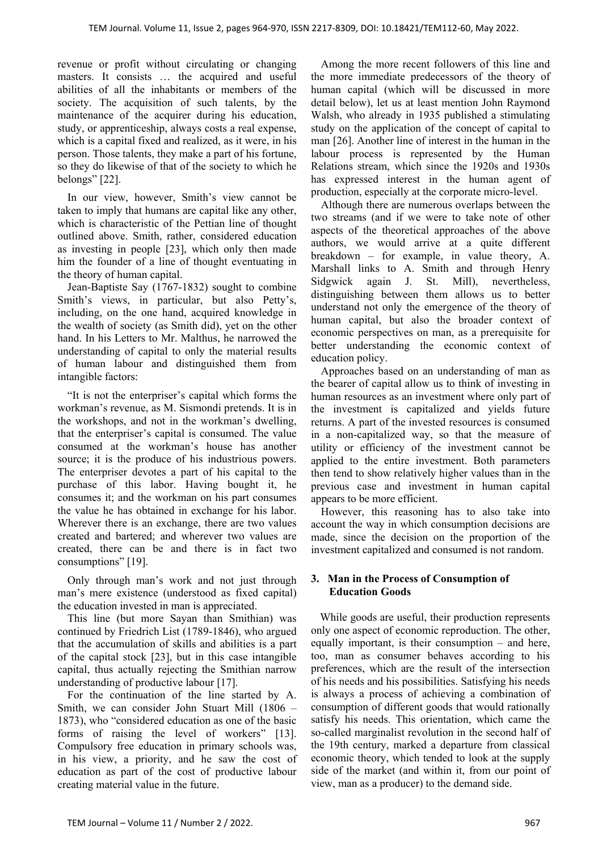revenue or profit without circulating or changing masters. It consists ... the acquired and useful abilities of all the inhabitants or members of the society. The acquisition of such talents, by the maintenance of the acquirer during his education, study, or apprenticeship, always costs a real expense, which is a capital fixed and realized, as it were, in his person. Those talents, they make a part of his fortune, so they do likewise of that of the society to which he belongs" [22].

In our view, however, Smith's view cannot be taken to imply that humans are capital like any other, which is characteristic of the Pettian line of thought outlined above. Smith, rather, considered education as investing in people [23], which only then made him the founder of a line of thought eventuating in the theory of human capital.

Jean-Baptiste Say (1767-1832) sought to combine Smith's views, in particular, but also Petty's, including, on the one hand, acquired knowledge in the wealth of society (as Smith did), yet on the other hand. In his Letters to Mr. Malthus, he narrowed the understanding of capital to only the material results of human labour and distinguished them from intangible factors:

"It is not the enterpriser's capital which forms the workman's revenue, as M. Sismondi pretends. It is in the workshops, and not in the workman's dwelling, that the enterpriser's capital is consumed. The value consumed at the workman's house has another source; it is the produce of his industrious powers. The enterpriser devotes a part of his capital to the purchase of this labor. Having bought it, he consumes it; and the workman on his part consumes the value he has obtained in exchange for his labor. Wherever there is an exchange, there are two values created and bartered; and wherever two values are created, there can be and there is in fact two consumptions" [19].

Only through man's work and not just through man's mere existence (understood as fixed capital) the education invested in man is appreciated.

This line (but more Sayan than Smithian) was continued by Friedrich List (1789-1846), who argued that the accumulation of skills and abilities is a part of the capital stock [23], but in this case intangible capital, thus actually rejecting the Smithian narrow understanding of productive labour [17].

For the continuation of the line started by A. Smith, we can consider John Stuart Mill (1806 – 1873), who "considered education as one of the basic forms of raising the level of workers" [13]. Compulsory free education in primary schools was, in his view, a priority, and he saw the cost of education as part of the cost of productive labour creating material value in the future.

Among the more recent followers of this line and the more immediate predecessors of the theory of human capital (which will be discussed in more detail below), let us at least mention John Raymond Walsh, who already in 1935 published a stimulating study on the application of the concept of capital to man [26]. Another line of interest in the human in the labour process is represented by the Human Relations stream, which since the 1920s and 1930s has expressed interest in the human agent of production, especially at the corporate micro-level.

Although there are numerous overlaps between the two streams (and if we were to take note of other aspects of the theoretical approaches of the above authors, we would arrive at a quite different breakdown – for example, in value theory, A. Marshall links to A. Smith and through Henry Sidgwick again J. St. Mill), nevertheless, distinguishing between them allows us to better understand not only the emergence of the theory of human capital, but also the broader context of economic perspectives on man, as a prerequisite for better understanding the economic context of education policy.

Approaches based on an understanding of man as the bearer of capital allow us to think of investing in human resources as an investment where only part of the investment is capitalized and yields future returns. A part of the invested resources is consumed in a non-capitalized way, so that the measure of utility or efficiency of the investment cannot be applied to the entire investment. Both parameters then tend to show relatively higher values than in the previous case and investment in human capital appears to be more efficient.

However, this reasoning has to also take into account the way in which consumption decisions are made, since the decision on the proportion of the investment capitalized and consumed is not random.

## **3. Man in the Process of Consumption of Education Goods**

While goods are useful, their production represents only one aspect of economic reproduction. The other, equally important, is their consumption – and here, too, man as consumer behaves according to his preferences, which are the result of the intersection of his needs and his possibilities. Satisfying his needs is always a process of achieving a combination of consumption of different goods that would rationally satisfy his needs. This orientation, which came the so-called marginalist revolution in the second half of the 19th century, marked a departure from classical economic theory, which tended to look at the supply side of the market (and within it, from our point of view, man as a producer) to the demand side.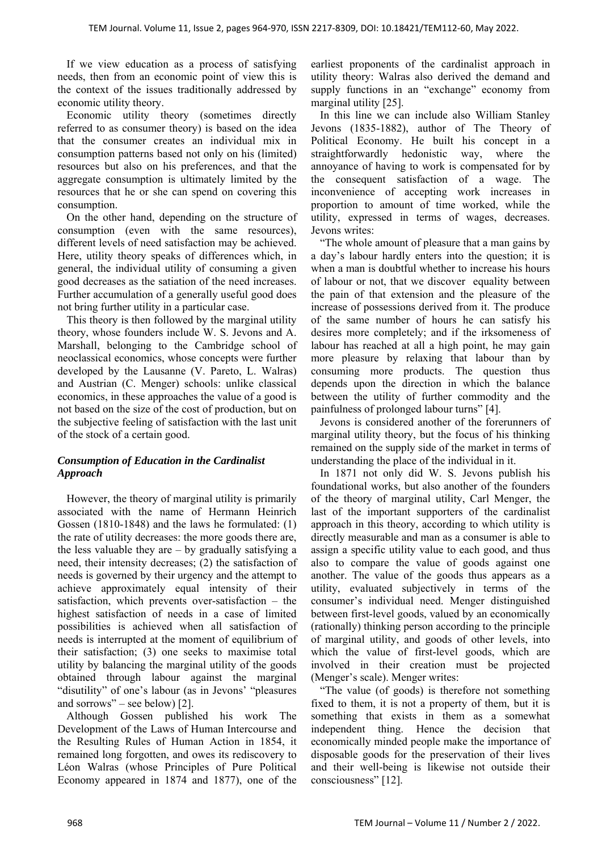If we view education as a process of satisfying needs, then from an economic point of view this is the context of the issues traditionally addressed by economic utility theory.

Economic utility theory (sometimes directly referred to as consumer theory) is based on the idea that the consumer creates an individual mix in consumption patterns based not only on his (limited) resources but also on his preferences, and that the aggregate consumption is ultimately limited by the resources that he or she can spend on covering this consumption.

On the other hand, depending on the structure of consumption (even with the same resources), different levels of need satisfaction may be achieved. Here, utility theory speaks of differences which, in general, the individual utility of consuming a given good decreases as the satiation of the need increases. Further accumulation of a generally useful good does not bring further utility in a particular case.

This theory is then followed by the marginal utility theory, whose founders include W. S. Jevons and A. Marshall, belonging to the Cambridge school of neoclassical economics, whose concepts were further developed by the Lausanne (V. Pareto, L. Walras) and Austrian (C. Menger) schools: unlike classical economics, in these approaches the value of a good is not based on the size of the cost of production, but on the subjective feeling of satisfaction with the last unit of the stock of a certain good.

# *Consumption of Education in the Cardinalist Approach*

However, the theory of marginal utility is primarily associated with the name of Hermann Heinrich Gossen (1810-1848) and the laws he formulated: (1) the rate of utility decreases: the more goods there are, the less valuable they are  $-$  by gradually satisfying a need, their intensity decreases; (2) the satisfaction of needs is governed by their urgency and the attempt to achieve approximately equal intensity of their satisfaction, which prevents over-satisfaction – the highest satisfaction of needs in a case of limited possibilities is achieved when all satisfaction of needs is interrupted at the moment of equilibrium of their satisfaction; (3) one seeks to maximise total utility by balancing the marginal utility of the goods obtained through labour against the marginal "disutility" of one's labour (as in Jevons' "pleasures and sorrows" – see below) [2].

Although Gossen published his work The Development of the Laws of Human Intercourse and the Resulting Rules of Human Action in 1854, it remained long forgotten, and owes its rediscovery to Léon Walras (whose Principles of Pure Political Economy appeared in 1874 and 1877), one of the earliest proponents of the cardinalist approach in utility theory: Walras also derived the demand and supply functions in an "exchange" economy from marginal utility [25].

In this line we can include also William Stanley Jevons (1835-1882), author of The Theory of Political Economy. He built his concept in a straightforwardly hedonistic way, where the annoyance of having to work is compensated for by the consequent satisfaction of a wage. The inconvenience of accepting work increases in proportion to amount of time worked, while the utility, expressed in terms of wages, decreases. Jevons writes:

"The whole amount of pleasure that a man gains by a day's labour hardly enters into the question; it is when a man is doubtful whether to increase his hours of labour or not, that we discover equality between the pain of that extension and the pleasure of the increase of possessions derived from it. The produce of the same number of hours he can satisfy his desires more completely; and if the irksomeness of labour has reached at all a high point, he may gain more pleasure by relaxing that labour than by consuming more products. The question thus depends upon the direction in which the balance between the utility of further commodity and the painfulness of prolonged labour turns" [4].

Jevons is considered another of the forerunners of marginal utility theory, but the focus of his thinking remained on the supply side of the market in terms of understanding the place of the individual in it.

In 1871 not only did W. S. Jevons publish his foundational works, but also another of the founders of the theory of marginal utility, Carl Menger, the last of the important supporters of the cardinalist approach in this theory, according to which utility is directly measurable and man as a consumer is able to assign a specific utility value to each good, and thus also to compare the value of goods against one another. The value of the goods thus appears as a utility, evaluated subjectively in terms of the consumer's individual need. Menger distinguished between first-level goods, valued by an economically (rationally) thinking person according to the principle of marginal utility, and goods of other levels, into which the value of first-level goods, which are involved in their creation must be projected (Menger's scale). Menger writes:

"The value (of goods) is therefore not something fixed to them, it is not a property of them, but it is something that exists in them as a somewhat independent thing. Hence the decision that economically minded people make the importance of disposable goods for the preservation of their lives and their well-being is likewise not outside their consciousness" [12].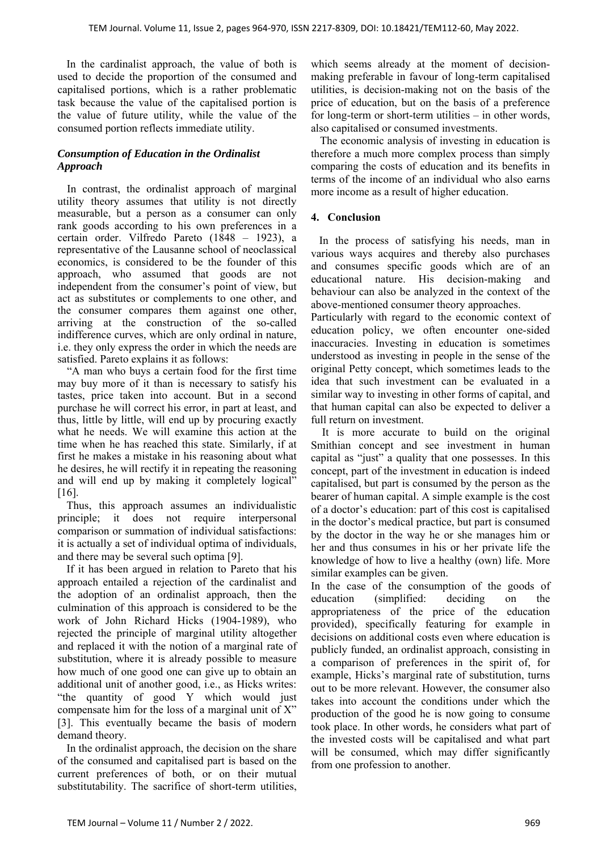In the cardinalist approach, the value of both is used to decide the proportion of the consumed and capitalised portions, which is a rather problematic task because the value of the capitalised portion is the value of future utility, while the value of the consumed portion reflects immediate utility.

## *Consumption of Education in the Ordinalist Approach*

In contrast, the ordinalist approach of marginal utility theory assumes that utility is not directly measurable, but a person as a consumer can only rank goods according to his own preferences in a certain order. Vilfredo Pareto (1848 – 1923), a representative of the Lausanne school of neoclassical economics, is considered to be the founder of this approach, who assumed that goods are not independent from the consumer's point of view, but act as substitutes or complements to one other, and the consumer compares them against one other, arriving at the construction of the so-called indifference curves, which are only ordinal in nature, i.e. they only express the order in which the needs are satisfied. Pareto explains it as follows:

"A man who buys a certain food for the first time may buy more of it than is necessary to satisfy his tastes, price taken into account. But in a second purchase he will correct his error, in part at least, and thus, little by little, will end up by procuring exactly what he needs. We will examine this action at the time when he has reached this state. Similarly, if at first he makes a mistake in his reasoning about what he desires, he will rectify it in repeating the reasoning and will end up by making it completely logical" [16].

Thus, this approach assumes an individualistic principle; it does not require interpersonal comparison or summation of individual satisfactions: it is actually a set of individual optima of individuals, and there may be several such optima [9].

If it has been argued in relation to Pareto that his approach entailed a rejection of the cardinalist and the adoption of an ordinalist approach, then the culmination of this approach is considered to be the work of John Richard Hicks (1904-1989), who rejected the principle of marginal utility altogether and replaced it with the notion of a marginal rate of substitution, where it is already possible to measure how much of one good one can give up to obtain an additional unit of another good, i.e., as Hicks writes: "the quantity of good Y which would just compensate him for the loss of a marginal unit of X" [3]. This eventually became the basis of modern demand theory.

In the ordinalist approach, the decision on the share of the consumed and capitalised part is based on the current preferences of both, or on their mutual substitutability. The sacrifice of short-term utilities, which seems already at the moment of decisionmaking preferable in favour of long-term capitalised utilities, is decision-making not on the basis of the price of education, but on the basis of a preference for long-term or short-term utilities – in other words, also capitalised or consumed investments.

The economic analysis of investing in education is therefore a much more complex process than simply comparing the costs of education and its benefits in terms of the income of an individual who also earns more income as a result of higher education.

## **4. Conclusion**

 In the process of satisfying his needs, man in various ways acquires and thereby also purchases and consumes specific goods which are of an educational nature. His decision-making and behaviour can also be analyzed in the context of the above-mentioned consumer theory approaches.

Particularly with regard to the economic context of education policy, we often encounter one-sided inaccuracies. Investing in education is sometimes understood as investing in people in the sense of the original Petty concept, which sometimes leads to the idea that such investment can be evaluated in a similar way to investing in other forms of capital, and that human capital can also be expected to deliver a full return on investment.

 It is more accurate to build on the original Smithian concept and see investment in human capital as "just" a quality that one possesses. In this concept, part of the investment in education is indeed capitalised, but part is consumed by the person as the bearer of human capital. A simple example is the cost of a doctor's education: part of this cost is capitalised in the doctor's medical practice, but part is consumed by the doctor in the way he or she manages him or her and thus consumes in his or her private life the knowledge of how to live a healthy (own) life. More similar examples can be given.

In the case of the consumption of the goods of education (simplified: deciding on the appropriateness of the price of the education provided), specifically featuring for example in decisions on additional costs even where education is publicly funded, an ordinalist approach, consisting in a comparison of preferences in the spirit of, for example, Hicks's marginal rate of substitution, turns out to be more relevant. However, the consumer also takes into account the conditions under which the production of the good he is now going to consume took place. In other words, he considers what part of the invested costs will be capitalised and what part will be consumed, which may differ significantly from one profession to another.